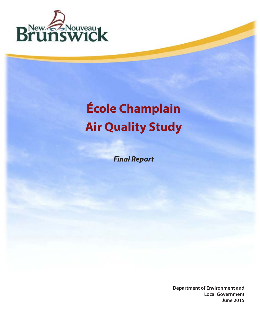

# **École Champlain Air Quality Study**

*Final Report*

**Department of Environment and Local Government June 2015**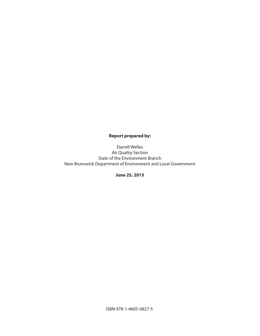# **Report prepared by:**

Darrell Welles Air Quality Section State of the Environment Branch New Brunswick Department of Environment and Local Government

**June 25, 2015**

ISBN 978-1-4605-0827-5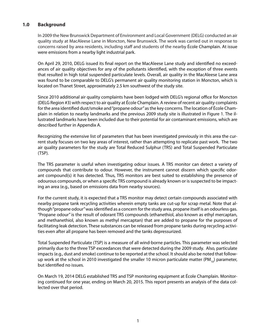# **1.0 Background**

In 2009 the New Brunswick Department of Environment and Local Government (DELG) conducted an air quality study at MacAleese Lane in Moncton, New Brunswick. The work was carried out in response to concerns raised by area residents, including staff and students of the nearby École Champlain. At issue were emissions from a nearby light industrial park.

On April 29, 2010, DELG issued its final report on the MacAleese Lane study and identified no exceedances of air quality objectives for any of the pollutants identified, with the exception of three events that resulted in high total suspended particulate levels. Overall, air quality in the MacAleese Lane area was found to be comparable to DELG's permanent air quality monitoring station in Moncton, which is located on Thanet Street, approximately 2.5 km southwest of the study site.

Since 2010 additional air quality complaints have been lodged with DELG's regional office for Moncton (DELG Region #3) with respect to air quality at École Champlain. A review of recent air quality complaints for the area identified dust/smoke and "propane odour" as the key concerns. The location of École Champlain in relation to nearby landmarks and the previous 2009 study site is illustrated in Figure 1. The illustrated landmarks have been included due to their potential for air contaminant emissions, which are described further in Appendix A.

Recognizing the extensive list of parameters that has been investigated previously in this area the current study focuses on two key areas of interest, rather than attempting to replicate past work. The two air quality parameters for the study are Total Reduced Sulphur (TRS) and Total Suspended Particulate (TSP).

The TRS parameter is useful when investigating odour issues. A TRS monitor can detect a variety of compounds that contribute to odour. However, the instrument cannot discern which specific odorant compound(s) it has detected. Thus, TRS monitors are best suited to establishing the presence of odourous compounds, or when a specific TRS compound is already known or is suspected to be impacting an area (e.g., based on emissions data from nearby sources).

For the current study, it is expected that a TRS monitor may detect certain compounds associated with nearby propane tank recycling activities wherein empty tanks are cut-up for scrap metal. Note that although "propane odour" was identified as a concern for the study area, propane itself is an odourless gas. "Propane odour" is the result of odorant TRS compounds (ethanethiol, also known as ethyl mercaptan, and methanethiol, also known as methyl mercaptan) that are added to propane for the purposes of facilitating leak detection. These substances can be released from propane tanks during recycling activities even after all propane has been removed and the tanks depressurized.

Total Suspended Particulate (TSP) is a measure of all wind-borne particles. This parameter was selected primarily due to the three TSP exceedances that were detected during the 2009 study. Also, particulate impacts (e.g., dust and smoke) continue to be reported at the school. It should also be noted that followup work at the school in 2010 investigated the smaller 10 micron particulate matter (PM<sub>10</sub>) parameter, but identified no issues.

On March 19, 2014 DELG established TRS and TSP monitoring equipment at École Champlain. Monitoring continued for one year, ending on March 20, 2015. This report presents an analysis of the data collected over that period.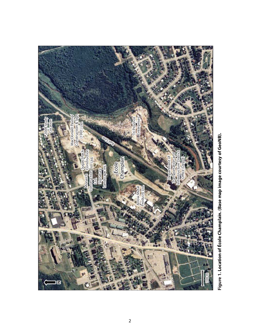

Figure 1. Location of École Champlain. (Base map image courtesy of GeoNB). **Figure 1. Location of École Champlain. (Base map image courtesy of GeoNB).**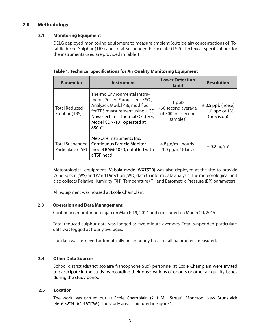# **2.0 Methodology**

#### **2.1 Monitoring Equipment**

DELG deployed monitoring equipment to measure ambient (outside air) concentrations of: Total Reduced Sulphur (TRS) and Total Suspended Particulate (TSP). Technical specifications for the instruments used are provided in Table 1.

| <b>Parameter</b>                            | <b>Instrument</b>                                                                                                                                                                                                       | <b>Lower Detection</b><br>Limit                               | <b>Resolution</b>                                           |
|---------------------------------------------|-------------------------------------------------------------------------------------------------------------------------------------------------------------------------------------------------------------------------|---------------------------------------------------------------|-------------------------------------------------------------|
| <b>Total Reduced</b><br>Sulphur (TRS)       | Thermo Environmental Instru-<br>ments Pulsed Fluorescence SO <sub>2</sub><br>Analyzer, Model 43i, modified<br>for TRS measurement using a CD<br>Nova-Tech Inc. Thermal Oxidizer,<br>Model CDN-101 operated at<br>850°C. | 1 ppb<br>(60 second average<br>of 300 millisecond<br>samples) | $\pm$ 0.5 ppb (noise)<br>$\pm$ 1.0 ppb or 1%<br>(precision) |
| <b>Total Suspended</b><br>Particulate (TSP) | Met-One Instruments Inc.<br>Continuous Particle Monitor,<br>model BAM-1020, outfitted with<br>a TSP head.                                                                                                               | $4.8 \mu g/m3$ (hourly)<br>$1.0 \mu q/m^3$ (daily)            | $\pm$ 0.2 µg/m <sup>3</sup>                                 |

| Table 1: Technical Specifications for Air Quality Monitoring Equipment |  |  |  |  |
|------------------------------------------------------------------------|--|--|--|--|
|------------------------------------------------------------------------|--|--|--|--|

Meteorological equipment (Vaisala model WXT520) was also deployed at the site to provide Wind Speed (WS) and Wind Direction (WD) data to inform data analysis. The meteorological unit also collects Relative Humidity (RH), Temperature (T), and Barometric Pressure (BP) parameters.

All equipment was housed at École Champlain.

#### **2.3 Operation and Data Management**

Continuous monitoring began on March 19, 2014 and concluded on March 20, 2015.

Total reduced sulphur data was logged as five minute averages. Total suspended particulate data was logged as hourly averages.

The data was retrieved automatically on an hourly basis for all parameters measured.

#### **2.4 Other Data Sources**

School district (district scolaire francophone Sud) personnel at École Champlain were invited to participate in the study by recording their observations of odours or other air quality issues during the study period.

#### **2.5 Location**

The work was carried out at École Champlain (211 Mill Street), Moncton, New Brunswick (46°6'32"N 64°46'1"W ). The study area is pictured in Figure 1.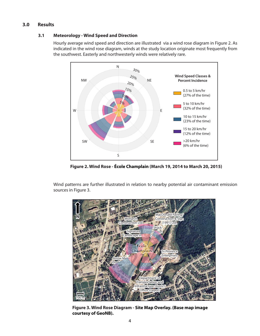# **3.0 Results**

#### **3.1 Meteorology - Wind Speed and Direction**

Hourly average wind speed and direction are illustrated via a wind rose diagram in Figure 2. As indicated in the wind rose diagram, winds at the study location originate most frequently from the southwest. Easterly and northwesterly winds were relatively rare.



**Figure 2. Wind Rose - École Champlain (March 19, 2014 to March 20, 2015)**

Wind patterns are further illustrated in relation to nearby potential air contaminant emission sources in Figure 3.



**Figure 3. Wind Rose Diagram - Site Map Overlay. (Base map image courtesy of GeoNB).**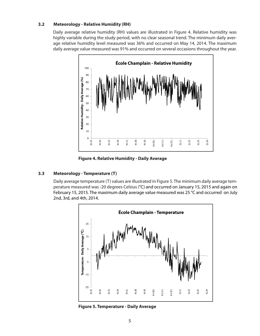#### **3.2 Meteorology - Relative Humidity (RH)**

Daily average relative humidity (RH) values are illustrated in Figure 4. Relative humidity was highly variable during the study period, with no clear seasonal trend. The minimum daily average relative humidity level measured was 36% and occurred on May 14, 2014. The maximum daily average value measured was 91% and occurred on several occasions throughout the year.



**Figure 4. Relative Humidity - Daily Average**

### **3.3 Meteorology - Temperature (T)**

Daily average temperature (T) values are illustrated in Figure 5. The minimum daily average temperature measured was -20 degrees Celsius (°C) and occurred on January 15, 2015 and again on February 15, 2015. The maximum daily average value measured was 25 °C and occurred on July 2nd, 3rd, and 4th, 2014.



**Figure 5. Temperature - Daily Average**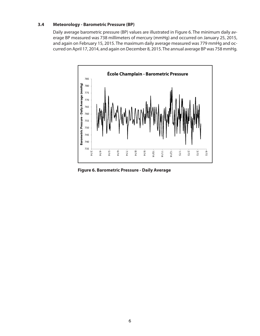#### **3.4 Meteorology - Barometric Pressure (BP)**

Daily average barometric pressure (BP) values are illustrated in Figure 6. The minimum daily average BP measured was 738 millimeters of mercury (mmHg) and occurred on January 25, 2015, and again on February 15, 2015. The maximum daily average measured was 779 mmHg and occurred on April 17, 2014, and again on December 8, 2015. The annual average BP was 758 mmHg.



**Figure 6. Barometric Pressure - Daily Average**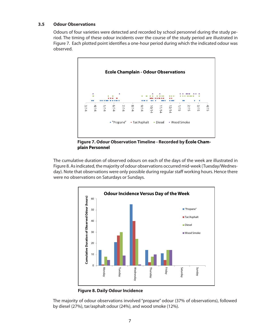#### **3.5 Odour Observations**

Odours of four varieties were detected and recorded by school personnel during the study period. The timing of these odour incidents over the course of the study period are illustrated in Figure 7. Each plotted point identifies a one-hour period during which the indicated odour was observed.



**Figure 7. Odour Observation Timeline - Recorded by École Champlain Personnel**

The cumulative duration of observed odours on each of the days of the week are illustrated in Figure 8. As indicated, the majority of odour observations occurred mid-week (Tuesday/Wednesday). Note that observations were only possible during regular staff working hours. Hence there were no observations on Saturdays or Sundays.



**Figure 8. Daily Odour Incidence**

The majority of odour observations involved "propane" odour (37% of observations), followed by diesel (27%), tar/asphalt odour (24%), and wood smoke (12%).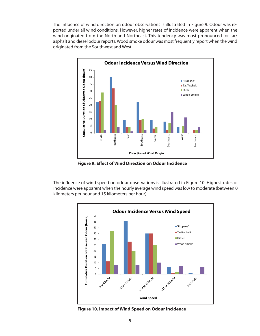The influence of wind direction on odour observations is illustrated in Figure 9. Odour was reported under all wind conditions. However, higher rates of incidence were apparent when the wind originated from the North and Northeast. This tendency was most pronounced for tar/ asphalt and diesel odour reports. Wood smoke odour was most frequently report when the wind originated from the Southwest and West.



**Figure 9. Effect of Wind Direction on Odour Incidence**

The influence of wind speed on odour observations is illustrated in Figure 10. Highest rates of incidence were apparent when the hourly average wind speed was low to moderate (between 0 kilometers per hour and 15 kilometers per hour).



**Figure 10. Impact of Wind Speed on Odour Incidence**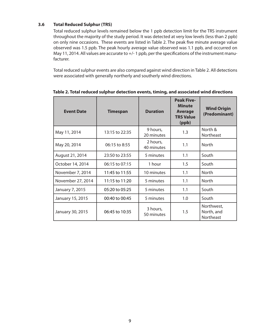#### **3.6 Total Reduced Sulphur (TRS)**

Total reduced sulphur levels remained below the 1 ppb detection limit for the TRS instrument throughout the majority of the study period. It was detected at very low levels (less than 2 ppb) on only nine occasions. These events are listed in Table 2. The peak five minute average value observed was 1.5 ppb. The peak hourly average value observed was 1.1 ppb, and occurred on May 11, 2014. All values are accurate to +/- 1 ppb, per the specifications of the instrument manufacturer.

Total reduced sulphur events are also compared against wind direction in Table 2. All detections were associated with generally northerly and southerly wind directions.

| <b>Event Date</b> | <b>Timespan</b> | <b>Duration</b>        | <b>Peak Five-</b><br><b>Minute</b><br><b>Average</b><br><b>TRS Value</b><br>(ppb) | <b>Wind Origin</b><br>(Predominant)   |
|-------------------|-----------------|------------------------|-----------------------------------------------------------------------------------|---------------------------------------|
| May 11, 2014      | 13:15 to 22:35  | 9 hours,<br>20 minutes | 1.3                                                                               | North &<br>Northeast                  |
| May 20, 2014      | 06:15 to 8:55   | 2 hours,<br>40 minutes | 1.1                                                                               | <b>North</b>                          |
| August 21, 2014   | 23:50 to 23:55  | 5 minutes              | 1.1                                                                               | South                                 |
| October 14, 2014  | 06:15 to 07:15  | 1 hour                 | 1.5                                                                               | South                                 |
| November 7, 2014  | 11:45 to 11:55  | 10 minutes             | 1.1                                                                               | <b>North</b>                          |
| November 27, 2014 | 11:15 to 11:20  | 5 minutes              | 1.1                                                                               | <b>North</b>                          |
| January 7, 2015   | 05:20 to 05:25  | 5 minutes              | 1.1                                                                               | South                                 |
| January 15, 2015  | 00:40 to 00:45  | 5 minutes              | 1.0                                                                               | South                                 |
| January 30, 2015  | 06:45 to 10:35  | 3 hours,<br>50 minutes | 1.5                                                                               | Northwest,<br>North, and<br>Northeast |

**Table 2. Total reduced sulphur detection events, timing, and associated wind directions**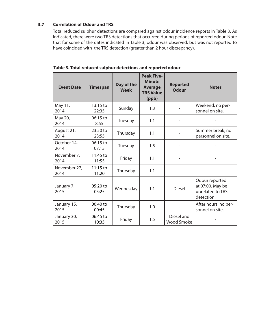# **3.7 Correlation of Odour and TRS**

Total reduced sulphur detections are compared against odour incidence reports in Table 3. As indicated, there were two TRS detections that occurred during periods of reported odour. Note that for some of the dates indicated in Table 3, odour was observed, but was not reported to have coincided with the TRS detection (greater than 2 hour discrepancy).

| <b>Event Date</b>    | <b>Timespan</b>   | Day of the<br><b>Week</b> | <b>Peak Five-</b><br><b>Minute</b><br><b>Average</b><br><b>TRS Value</b><br>(ppb) | <b>Reported</b><br><b>Odour</b> | <b>Notes</b>                                                         |
|----------------------|-------------------|---------------------------|-----------------------------------------------------------------------------------|---------------------------------|----------------------------------------------------------------------|
| May 11,<br>2014      | 13:15 to<br>22:35 | Sunday                    | 1.3                                                                               |                                 | Weekend, no per-<br>sonnel on site.                                  |
| May 20,<br>2014      | 06:15 to<br>8:55  | Tuesday                   | 1.1                                                                               |                                 |                                                                      |
| August 21,<br>2014   | 23:50 to<br>23:55 | Thursday                  | 1.1                                                                               |                                 | Summer break, no<br>personnel on site.                               |
| October 14,<br>2014  | 06:15 to<br>07:15 | Tuesday                   | 1.5                                                                               |                                 |                                                                      |
| November 7,<br>2014  | 11:45 to<br>11:55 | Friday                    | 1.1                                                                               |                                 |                                                                      |
| November 27,<br>2014 | 11:15 to<br>11:20 | Thursday                  | 1.1                                                                               |                                 |                                                                      |
| January 7,<br>2015   | 05:20 to<br>05:25 | Wednesday                 | 1.1                                                                               | <b>Diesel</b>                   | Odour reported<br>at 07:00. May be<br>unrelated to TRS<br>detection. |
| January 15,<br>2015  | 00:40 to<br>00:45 | Thursday                  | 1.0                                                                               |                                 | After hours, no per-<br>sonnel on site.                              |
| January 30,<br>2015  | 06:45 to<br>10:35 | Friday                    | 1.5                                                                               | Diesel and<br><b>Wood Smoke</b> |                                                                      |

**Table 3. Total reduced sulphur detections and reported odour**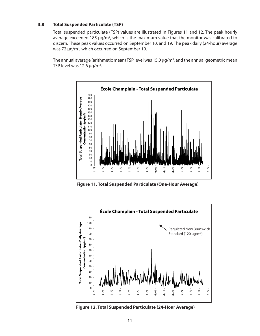#### **3.8 Total Suspended Particulate (TSP)**

Total suspended particulate (TSP) values are illustrated in Figures 11 and 12. The peak hourly average exceeded 185  $\mu$ g/m<sup>3</sup>, which is the maximum value that the monitor was calibrated to discern. These peak values occurred on September 10, and 19. The peak daily (24-hour) average was 72 µg/m<sup>3</sup>, which occurred on September 19.

The annual average (arithmetic mean) TSP level was 15.0 µg/m<sup>3</sup>, and the annual geometric mean TSP level was 12.6  $\mu$ g/m<sup>3</sup>.



**Figure 11. Total Suspended Particulate (One-Hour Average)**



**Figure 12. Total Suspended Particulate (24-Hour Average)**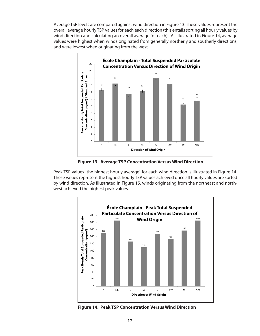Average TSP levels are compared against wind direction in Figure 13. These values represent the overall average hourly TSP values for each each direction (this entails sorting all hourly values by wind direction and calculating an overall average for each). As illustrated in Figure 14, average values were highest when winds originated from generally northerly and southerly directions, and were lowest when originating from the west.



**Figure 13. Average TSP Concentration Versus Wind Direction**

Peak TSP values (the highest hourly average) for each wind direction is illustrated in Figure 14. These values represent the highest hourly TSP values achieved once all hourly values are sorted by wind direction. As illustrated in Figure 15, winds originating from the northeast and northwest achieved the highest peak values.



**Figure 14. Peak TSP Concentration Versus Wind Direction**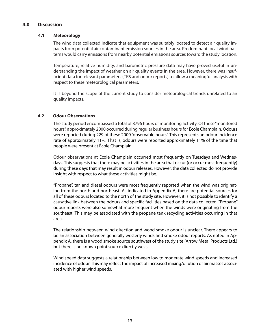### **4.0 Discussion**

#### **4.1 Meteorology**

The wind data collected indicate that equipment was suitably located to detect air quality impacts from potential air contaminant emission sources in the area. Predominant local wind patterns would carry emissions from nearby potential emissions sources toward the study location.

Temperature, relative humidity, and barometric pressure data may have proved useful in understanding the impact of weather on air quality events in the area. However, there was insufficient data for relevant parameters (TRS and odour reports) to allow a meaningful analysis with respect to these meteorological parameters.

It is beyond the scope of the current study to consider meteorological trends unrelated to air quality impacts.

### **4.2 Odour Observations**

The study period encompassed a total of 8796 hours of monitoring activity. Of these "monitored hours", approximately 2000 occurred during regular business hours for École Champlain. Odours were reported during 229 of these 2000 "observable hours". This represents an odour incidence rate of approximately 11%. That is, odours were reported approximately 11% of the time that people were present at École Champlain.

Odour observations at École Champlain occurred most frequently on Tuesdays and Wednesdays. This suggests that there may be activities in the area that occur (or occur most frequently) during these days that may result in odour releases. However, the data collected do not provide insight with respect to what these activities might be.

"Propane", tar, and diesel odours were most frequently reported when the wind was originating from the north and northeast. As indicated in Appendix A, there are potential sources for all of these odours located to the north of the study site. However, it is not possible to identify a causative link between the odours and specific facilities based on the data collected. "Propane" odour reports were also somewhat more frequent when the winds were originating from the southeast. This may be associated with the propane tank recycling activities occurring in that area.

The relationship between wind direction and wood smoke odour is unclear. There appears to be an association between generally westerly winds and smoke odour reports. As noted in Appendix A, there is a wood smoke source southwest of the study site (Arrow Metal Products Ltd.) but there is no known point source directly west.

Wind speed data suggests a relationship between low to moderate wind speeds and increased incidence of odour. This may reflect the impact of increased mixing/dilution of air masses associated with higher wind speeds.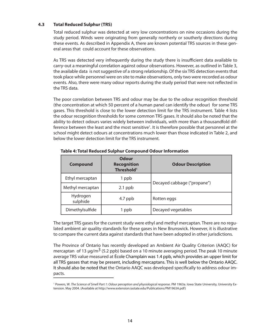#### **4.3 Total Reduced Sulphur (TRS)**

Total reduced sulphur was detected at very low concentrations on nine occasions during the study period. Winds were originating from generally northerly or southerly directions during these events. As described in Appendix A, there are known potential TRS sources in these general areas that could account for these observations.

As TRS was detected very infrequently during the study there is insufficient data available to carry-out a meaningful correlation against odour observations. However, as outlined in Table 3, the available data is not suggestive of a strong relationship. Of the six TRS detection events that took place while personnel were on site to make observations, only two were recorded as odour events. Also, there were many odour reports during the study period that were not reflected in the TRS data.

The poor correlation between TRS and odour may be due to the odour recognition threshold (the concentration at which 50 percent of a human panel can identify the odour) for some TRS gases. This threshold is close to the lower detection limit for the TRS instrument. Table 4 lists the odour recognition thresholds for some common TRS gases. It should also be noted that the ability to detect odours varies widely between individuals, with more than a thousandfold difference between the least and the most sensitive<sup>1</sup>. It is therefore possible that personnel at the school might detect odours at concentrations much lower than those indicated in Table 2, and below the lower detection limit for the TRS instrument.

| <b>Compound</b>                   | Odour<br><b>Recognition</b><br>Threshold <sup>1</sup> | <b>Odour Description</b>    |  |
|-----------------------------------|-------------------------------------------------------|-----------------------------|--|
| Ethyl mercaptan                   | 1 ppb                                                 | Decayed cabbage ("propane") |  |
| Methyl mercaptan                  | $2.1$ ppb                                             |                             |  |
| Hydrogen<br>$4.7$ ppb<br>sulphide |                                                       | Rotten eggs                 |  |
| Dimethylsulfide                   | 1 ppb                                                 | Decayed vegetables          |  |

#### **Table 4: Total Reduced Sulphur Compound Odour Information**

The target TRS gases for the current study were ethyl and methyl mercaptan. There are no regulated ambient air quality standards for these gases in New Brunswick. However, it is illustrative to compare the current data against standards that have been adopted in other jurisdictions.

The Province of Ontario has recently developed an Ambient Air Quality Criterion (AAQC) for mercaptan of 13  $\mu q/m^3$  (5.2 ppb) based on a 10 minute averaging period. The peak 10 minute average TRS value measured at École Champlain was 1.4 ppb, which provides an upper limit for all TRS gasses that may be present, including mercaptans. This is well below the Ontario AAQC. It should also be noted that the Ontario AAQC was developed specifically to address odour impacts.

<sup>&</sup>lt;sup>1</sup> Powers, W. The Science of Smell Part 1: Odour perception and physiological response. PM 1963a. Iowa State University, University Extension. May 2004. (Available at http://www.extension.iastate.edu/Publications/PM1963A.pdf)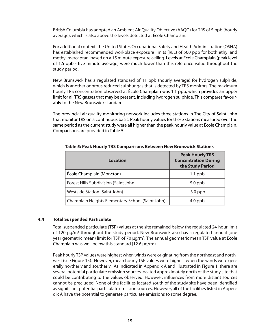British Columbia has adopted an Ambient Air Quality Objective (AAQO) for TRS of 5 ppb (hourly average), which is also above the levels detected at École Champlain.

For additional context, the United States Occupational Safety and Health Administration (OSHA) has established recommended workplace exposure limits (REL) of 500 ppb for both ethyl and methyl mercaptan, based on a 15 minute exposure ceiling. Levels at École Champlain (peak level of 1.5 ppb - five minute average) were much lower than this reference value throughout the study period.

New Brunswick has a regulated standard of 11 ppb (hourly average) for hydrogen sulphide, which is another odorous reduced sulphur gas that is detected by TRS monitors. The maximum hourly TRS concentration observed at École Champlain was 1.1 ppb, which provides an upper limit for all TRS gasses that may be present, including hydrogen sulphide. This compares favourably to the New Brunswick standard.

The provincial air quality monitoring network includes three stations in The City of Saint John that monitor TRS on a continuous basis. Peak hourly values for these stations measured over the same period as the current study were all higher than the peak hourly value at École Champlain. Comparisons are provided in Table 5.

| Location                                         | <b>Peak Hourly TRS</b><br><b>Concentration During</b><br>the Study Period |
|--------------------------------------------------|---------------------------------------------------------------------------|
| École Champlain (Moncton)                        | $1.1$ ppb                                                                 |
| Forest Hills Subdivision (Saint John)            | $5.0$ ppb                                                                 |
| Westside Station (Saint John)                    | $3.0$ ppb                                                                 |
| Champlain Heights Elementary School (Saint John) | $4.0$ ppb                                                                 |

**Table 5: Peak Hourly TRS Comparisons Between New Brunswick Stations**

### **4.4 Total Suspended Particulate**

Total suspended particulate (TSP) values at the site remained below the regulated 24-hour limit of 120  $\mu$ g/m<sup>3</sup> throughout the study period. New Brunswick also has a regulated annual (one year geometric mean) limit for TSP of 70 μg/m<sup>3</sup>. The annual geometric mean TSP value at École Champlain was well below this standard (12.6  $\mu$ g/m<sup>3</sup>)

Peak hourly TSP values were highest when winds were originating from the northeast and northwest (see Figure 15). However, mean hourly TSP values were highest when the winds were generally northerly and southerly. As indicated in Appendix A and illustrated in Figure 1, there are several potential particulate emission sources located approximately north of the study site that could be contributing to the values observed. However, influences from more distant sources cannot be precluded. None of the facilities located south of the study site have been identified as significant potential particulate emission sources. However, all of the facilities listed in Appendix A have the potential to generate particulate emissions to some degree.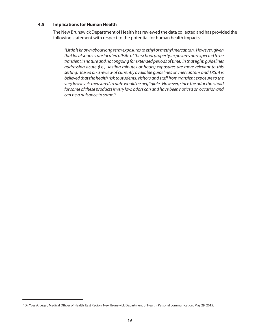#### **4.5 Implications for Human Health**

The New Brunswick Department of Health has reviewed the data collected and has provided the following statement with respect to the potential for human health impacts:

*"Little is known about long term exposures to ethyl or methyl mercaptan. However, given that local sources are located offsite of the school property, exposures are expected to be transient in nature and not ongoing for extended periods of time. In that light, guidelines addressing acute (*i.e*., lasting minutes or hours) exposures are more relevant to this setting. Based on a review of currently available guidelines on mercaptans and TRS, it is believed that the health risk to students, visitors and staff from transient exposure to the very low levels measured to date would be negligible. However, since the odor threshold for some of these products is very low, odors can and have been noticed on occasion and can be a nuisance to some."*<sup>2</sup>

<sup>2</sup> Dr. Yves A. Léger, Medical Officer of Health, East Region, New Brunswick Department of Health. Personal communication. May 29, 2015.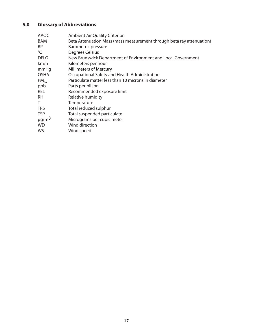# **5.0 Glossary of Abbreviations**

| AAQC                   | <b>Ambient Air Quality Criterion</b>                                  |
|------------------------|-----------------------------------------------------------------------|
| <b>BAM</b>             | Beta Attenuation Mass (mass measurement through beta ray attenuation) |
| BP                     | <b>Barometric pressure</b>                                            |
| °C                     | Degrees Celsius                                                       |
| <b>DELG</b>            | New Brunswick Department of Environment and Local Government          |
| km/h                   | Kilometers per hour                                                   |
| mmHq                   | <b>Millimeters of Mercury</b>                                         |
| <b>OSHA</b>            | Occupational Safety and Health Administration                         |
| $PM_{10}$              | Particulate matter less than 10 microns in diameter                   |
| ppb                    | Parts per billion                                                     |
| <b>REL</b>             | Recommended exposure limit                                            |
| <b>RH</b>              | Relative humidity                                                     |
| Τ                      | Temperature                                                           |
| <b>TRS</b>             | Total reduced sulphur                                                 |
| <b>TSP</b>             | Total suspended particulate                                           |
| $\mu$ g/m <sup>3</sup> | Micrograms per cubic meter                                            |
| <b>WD</b>              | Wind direction                                                        |
| WS                     | Wind speed                                                            |